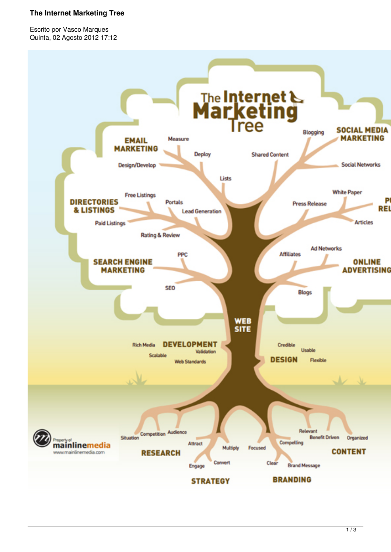### **The Internet Marketing Tree**

Escrito por Vasco Marques Quinta, 02 Agosto 2012 17:12

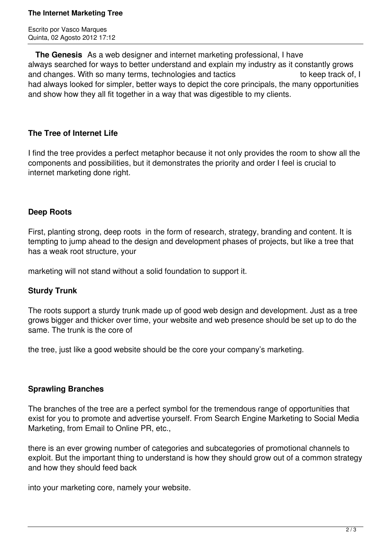#### **The Internet Marketing Tree**

Escrito por Vasco Marques Quinta, 02 Agosto 2012 17:12

 **The Genesis** As a web designer and internet marketing professional, I have always searched for ways to better understand and explain my industry as it constantly grows and changes. With so many terms, technologies and tactics to keep track of, I had always looked for simpler, better ways to depict the core principals, the many opportunities and show how they all fit together in a way that was digestible to my clients.

# **The Tree of Internet Life**

I find the tree provides a perfect metaphor because it not only provides the room to show all the components and possibilities, but it demonstrates the priority and order I feel is crucial to internet marketing done right.

# **Deep Roots**

First, planting strong, deep roots in the form of research, strategy, branding and content. It is tempting to jump ahead to the design and development phases of projects, but like a tree that has a weak root structure, your

marketing will not stand without a solid foundation to support it.

### **Sturdy Trunk**

The roots support a sturdy trunk made up of good web design and development. Just as a tree grows bigger and thicker over time, your website and web presence should be set up to do the same. The trunk is the core of

the tree, just like a good website should be the core your company's marketing.

### **Sprawling Branches**

The branches of the tree are a perfect symbol for the tremendous range of opportunities that exist for you to promote and advertise yourself. From Search Engine Marketing to Social Media Marketing, from Email to Online PR, etc.,

there is an ever growing number of categories and subcategories of promotional channels to exploit. But the important thing to understand is how they should grow out of a common strategy and how they should feed back

into your marketing core, namely your website.